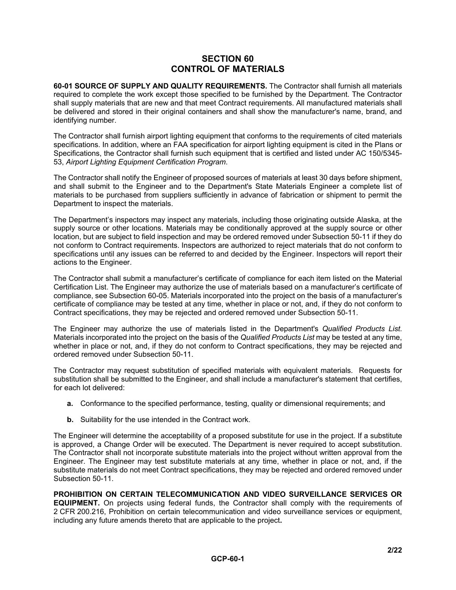## **SECTION 60 CONTROL OF MATERIALS**

**60-01 SOURCE OF SUPPLY AND QUALITY REQUIREMENTS.** The Contractor shall furnish all materials required to complete the work except those specified to be furnished by the Department. The Contractor shall supply materials that are new and that meet Contract requirements. All manufactured materials shall be delivered and stored in their original containers and shall show the manufacturer's name, brand, and identifying number.

The Contractor shall furnish airport lighting equipment that conforms to the requirements of cited materials specifications. In addition, where an FAA specification for airport lighting equipment is cited in the Plans or Specifications, the Contractor shall furnish such equipment that is certified and listed under AC 150/5345- 53, *Airport Lighting Equipment Certification Program*.

The Contractor shall notify the Engineer of proposed sources of materials at least 30 days before shipment, and shall submit to the Engineer and to the Department's State Materials Engineer a complete list of materials to be purchased from suppliers sufficiently in advance of fabrication or shipment to permit the Department to inspect the materials.

The Department's inspectors may inspect any materials, including those originating outside Alaska, at the supply source or other locations. Materials may be conditionally approved at the supply source or other location, but are subject to field inspection and may be ordered removed under Subsection 50-11 if they do not conform to Contract requirements. Inspectors are authorized to reject materials that do not conform to specifications until any issues can be referred to and decided by the Engineer. Inspectors will report their actions to the Engineer.

The Contractor shall submit a manufacturer's certificate of compliance for each item listed on the Material Certification List. The Engineer may authorize the use of materials based on a manufacturer's certificate of compliance, see Subsection 60-05. Materials incorporated into the project on the basis of a manufacturer's certificate of compliance may be tested at any time, whether in place or not, and, if they do not conform to Contract specifications, they may be rejected and ordered removed under Subsection 50-11.

The Engineer may authorize the use of materials listed in the Department's *Qualified Products List*. Materials incorporated into the project on the basis of the *Qualified Products List* may be tested at any time, whether in place or not, and, if they do not conform to Contract specifications, they may be rejected and ordered removed under Subsection 50-11.

The Contractor may request substitution of specified materials with equivalent materials. Requests for substitution shall be submitted to the Engineer, and shall include a manufacturer's statement that certifies, for each lot delivered:

- **a.** Conformance to the specified performance, testing, quality or dimensional requirements; and
- **b.** Suitability for the use intended in the Contract work.

The Engineer will determine the acceptability of a proposed substitute for use in the project. If a substitute is approved, a Change Order will be executed. The Department is never required to accept substitution. The Contractor shall not incorporate substitute materials into the project without written approval from the Engineer. The Engineer may test substitute materials at any time, whether in place or not, and, if the substitute materials do not meet Contract specifications, they may be rejected and ordered removed under Subsection 50-11.

**PROHIBITION ON CERTAIN TELECOMMUNICATION AND VIDEO SURVEILLANCE SERVICES OR EQUIPMENT.** On projects using federal funds, the Contractor shall comply with the requirements of 2 CFR 200.216, Prohibition on certain telecommunication and video surveillance services or equipment, including any future amends thereto that are applicable to the project**.**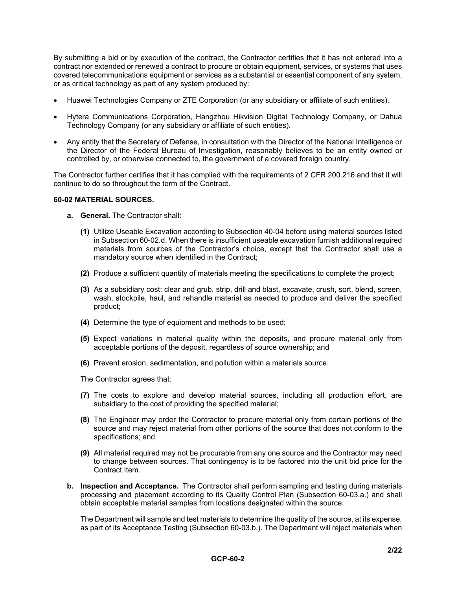By submitting a bid or by execution of the contract, the Contractor certifies that it has not entered into a contract nor extended or renewed a contract to procure or obtain equipment, services, or systems that uses covered telecommunications equipment or services as a substantial or essential component of any system, or as critical technology as part of any system produced by:

- Huawei Technologies Company or ZTE Corporation (or any subsidiary or affiliate of such entities).
- Hytera Communications Corporation, Hangzhou Hikvision Digital Technology Company, or Dahua Technology Company (or any subsidiary or affiliate of such entities).
- Any entity that the Secretary of Defense, in consultation with the Director of the National Intelligence or the Director of the Federal Bureau of Investigation, reasonably believes to be an entity owned or controlled by, or otherwise connected to, the government of a covered foreign country.

The Contractor further certifies that it has complied with the requirements of 2 CFR 200.216 and that it will continue to do so throughout the term of the Contract.

## **60-02 MATERIAL SOURCES.**

- **a. General.** The Contractor shall:
	- **(1)** Utilize Useable Excavation according to Subsection 40-04 before using material sources listed in Subsection 60-02.d. When there is insufficient useable excavation furnish additional required materials from sources of the Contractor's choice, except that the Contractor shall use a mandatory source when identified in the Contract;
	- **(2)** Produce a sufficient quantity of materials meeting the specifications to complete the project;
	- **(3)** As a subsidiary cost: clear and grub, strip, drill and blast, excavate, crush, sort, blend, screen, wash, stockpile, haul, and rehandle material as needed to produce and deliver the specified product;
	- **(4)** Determine the type of equipment and methods to be used;
	- **(5)** Expect variations in material quality within the deposits, and procure material only from acceptable portions of the deposit, regardless of source ownership; and
	- **(6)** Prevent erosion, sedimentation, and pollution within a materials source.

The Contractor agrees that:

- **(7)** The costs to explore and develop material sources, including all production effort, are subsidiary to the cost of providing the specified material;
- **(8)** The Engineer may order the Contractor to procure material only from certain portions of the source and may reject material from other portions of the source that does not conform to the specifications; and
- **(9)** All material required may not be procurable from any one source and the Contractor may need to change between sources. That contingency is to be factored into the unit bid price for the Contract Item.
- **b. Inspection and Acceptance.** The Contractor shall perform sampling and testing during materials processing and placement according to its Quality Control Plan (Subsection 60-03.a.) and shall obtain acceptable material samples from locations designated within the source.

The Department will sample and test materials to determine the quality of the source, at its expense, as part of its Acceptance Testing (Subsection 60-03.b.). The Department will reject materials when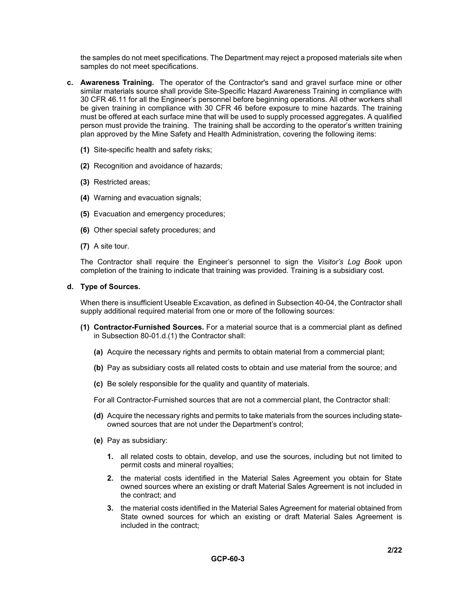the samples do not meet specifications. The Department may reject a proposed materials site when samples do not meet specifications.

- **c. Awareness Training.** The operator of the Contractor's sand and gravel surface mine or other similar materials source shall provide Site-Specific Hazard Awareness Training in compliance with 30 CFR 46.11 for all the Engineer's personnel before beginning operations. All other workers shall be given training in compliance with 30 CFR 46 before exposure to mine hazards. The training must be offered at each surface mine that will be used to supply processed aggregates. A qualified person must provide the training. The training shall be according to the operator's written training plan approved by the Mine Safety and Health Administration, covering the following items:
	- **(1)** Site-specific health and safety risks;
	- **(2)** Recognition and avoidance of hazards;
	- **(3)** Restricted areas;
	- **(4)** Warning and evacuation signals;
	- **(5)** Evacuation and emergency procedures;
	- **(6)** Other special safety procedures; and
	- **(7)** A site tour.

The Contractor shall require the Engineer's personnel to sign the *Visitor's Log Book* upon completion of the training to indicate that training was provided. Training is a subsidiary cost.

## **d. Type of Sources.**

When there is insufficient Useable Excavation, as defined in Subsection 40-04, the Contractor shall supply additional required material from one or more of the following sources:

- **(1) Contractor-Furnished Sources.** For a material source that is a commercial plant as defined in Subsection 80-01.d.(1) the Contractor shall:
	- **(a)** Acquire the necessary rights and permits to obtain material from a commercial plant;
	- **(b)** Pay as subsidiary costs all related costs to obtain and use material from the source; and
	- **(c)** Be solely responsible for the quality and quantity of materials.
	- For all Contractor-Furnished sources that are not a commercial plant, the Contractor shall:
	- **(d)** Acquire the necessary rights and permits to take materials from the sources including stateowned sources that are not under the Department's control;
	- **(e)** Pay as subsidiary:
		- **1.** all related costs to obtain, develop, and use the sources, including but not limited to permit costs and mineral royalties;
		- **2.** the material costs identified in the Material Sales Agreement you obtain for State owned sources where an existing or draft Material Sales Agreement is not included in the contract; and
		- **3.** the material costs identified in the Material Sales Agreement for material obtained from State owned sources for which an existing or draft Material Sales Agreement is included in the contract;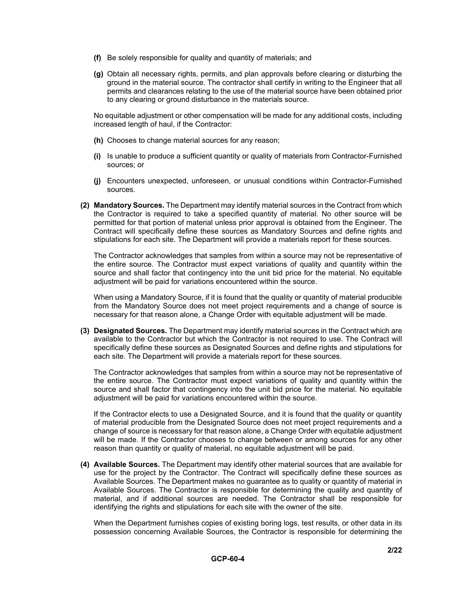- **(f)** Be solely responsible for quality and quantity of materials; and
- **(g)** Obtain all necessary rights, permits, and plan approvals before clearing or disturbing the ground in the material source. The contractor shall certify in writing to the Engineer that all permits and clearances relating to the use of the material source have been obtained prior to any clearing or ground disturbance in the materials source.

No equitable adjustment or other compensation will be made for any additional costs, including increased length of haul, if the Contractor:

- **(h)** Chooses to change material sources for any reason;
- **(i)** Is unable to produce a sufficient quantity or quality of materials from Contractor-Furnished sources; or
- **(j)** Encounters unexpected, unforeseen, or unusual conditions within Contractor-Furnished sources.
- **(2) Mandatory Sources.** The Department may identify material sources in the Contract from which the Contractor is required to take a specified quantity of material. No other source will be permitted for that portion of material unless prior approval is obtained from the Engineer. The Contract will specifically define these sources as Mandatory Sources and define rights and stipulations for each site. The Department will provide a materials report for these sources.

The Contractor acknowledges that samples from within a source may not be representative of the entire source. The Contractor must expect variations of quality and quantity within the source and shall factor that contingency into the unit bid price for the material. No equitable adjustment will be paid for variations encountered within the source.

When using a Mandatory Source, if it is found that the quality or quantity of material producible from the Mandatory Source does not meet project requirements and a change of source is necessary for that reason alone, a Change Order with equitable adjustment will be made.

**(3) Designated Sources.** The Department may identify material sources in the Contract which are available to the Contractor but which the Contractor is not required to use. The Contract will specifically define these sources as Designated Sources and define rights and stipulations for each site. The Department will provide a materials report for these sources.

The Contractor acknowledges that samples from within a source may not be representative of the entire source. The Contractor must expect variations of quality and quantity within the source and shall factor that contingency into the unit bid price for the material. No equitable adjustment will be paid for variations encountered within the source.

If the Contractor elects to use a Designated Source, and it is found that the quality or quantity of material producible from the Designated Source does not meet project requirements and a change of source is necessary for that reason alone, a Change Order with equitable adjustment will be made. If the Contractor chooses to change between or among sources for any other reason than quantity or quality of material, no equitable adjustment will be paid.

**(4) Available Sources.** The Department may identify other material sources that are available for use for the project by the Contractor. The Contract will specifically define these sources as Available Sources. The Department makes no guarantee as to quality or quantity of material in Available Sources. The Contractor is responsible for determining the quality and quantity of material, and if additional sources are needed. The Contractor shall be responsible for identifying the rights and stipulations for each site with the owner of the site.

When the Department furnishes copies of existing boring logs, test results, or other data in its possession concerning Available Sources, the Contractor is responsible for determining the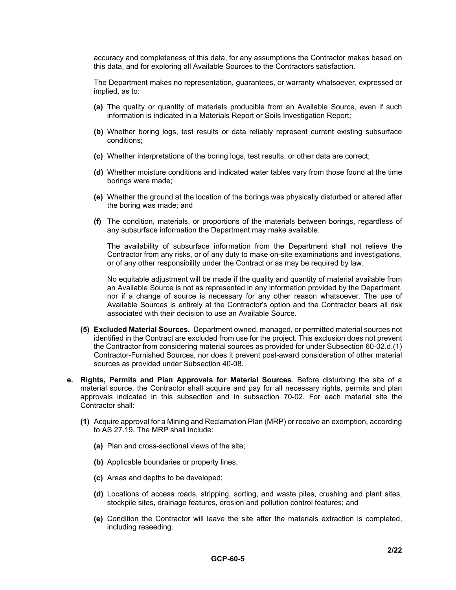accuracy and completeness of this data, for any assumptions the Contractor makes based on this data, and for exploring all Available Sources to the Contractors satisfaction.

The Department makes no representation, guarantees, or warranty whatsoever, expressed or implied, as to:

- **(a)** The quality or quantity of materials producible from an Available Source, even if such information is indicated in a Materials Report or Soils Investigation Report;
- **(b)** Whether boring logs, test results or data reliably represent current existing subsurface conditions;
- **(c)** Whether interpretations of the boring logs, test results, or other data are correct;
- **(d)** Whether moisture conditions and indicated water tables vary from those found at the time borings were made;
- **(e)** Whether the ground at the location of the borings was physically disturbed or altered after the boring was made; and
- **(f)** The condition, materials, or proportions of the materials between borings, regardless of any subsurface information the Department may make available.

The availability of subsurface information from the Department shall not relieve the Contractor from any risks, or of any duty to make on-site examinations and investigations, or of any other responsibility under the Contract or as may be required by law.

No equitable adjustment will be made if the quality and quantity of material available from an Available Source is not as represented in any information provided by the Department, nor if a change of source is necessary for any other reason whatsoever. The use of Available Sources is entirely at the Contractor's option and the Contractor bears all risk associated with their decision to use an Available Source.

- **(5) Excluded Material Sources.** Department owned, managed, or permitted material sources not identified in the Contract are excluded from use for the project. This exclusion does not prevent the Contractor from considering material sources as provided for under Subsection 60-02.d.(1) Contractor-Furnished Sources, nor does it prevent post-award consideration of other material sources as provided under Subsection 40-08.
- **e. Rights, Permits and Plan Approvals for Material Sources**. Before disturbing the site of a material source, the Contractor shall acquire and pay for all necessary rights, permits and plan approvals indicated in this subsection and in subsection 70-02. For each material site the Contractor shall:
	- **(1)** Acquire approval for a Mining and Reclamation Plan (MRP) or receive an exemption, according to AS 27.19. The MRP shall include:
		- **(a)** Plan and cross-sectional views of the site;
		- **(b)** Applicable boundaries or property lines;
		- **(c)** Areas and depths to be developed;
		- **(d)** Locations of access roads, stripping, sorting, and waste piles, crushing and plant sites, stockpile sites, drainage features, erosion and pollution control features; and
		- **(e)** Condition the Contractor will leave the site after the materials extraction is completed, including reseeding.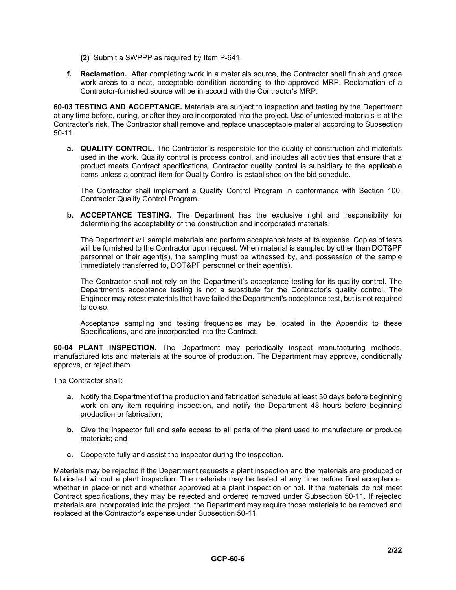- **(2)** Submit a SWPPP as required by Item P-641.
- **f. Reclamation.** After completing work in a materials source, the Contractor shall finish and grade work areas to a neat, acceptable condition according to the approved MRP. Reclamation of a Contractor-furnished source will be in accord with the Contractor's MRP.

**60-03 TESTING AND ACCEPTANCE.** Materials are subject to inspection and testing by the Department at any time before, during, or after they are incorporated into the project. Use of untested materials is at the Contractor's risk. The Contractor shall remove and replace unacceptable material according to Subsection 50-11.

**a. QUALITY CONTROL.** The Contractor is responsible for the quality of construction and materials used in the work. Quality control is process control, and includes all activities that ensure that a product meets Contract specifications. Contractor quality control is subsidiary to the applicable items unless a contract item for Quality Control is established on the bid schedule.

The Contractor shall implement a Quality Control Program in conformance with Section 100, Contractor Quality Control Program.

**b. ACCEPTANCE TESTING.** The Department has the exclusive right and responsibility for determining the acceptability of the construction and incorporated materials.

The Department will sample materials and perform acceptance tests at its expense. Copies of tests will be furnished to the Contractor upon request. When material is sampled by other than DOT&PF personnel or their agent(s), the sampling must be witnessed by, and possession of the sample immediately transferred to, DOT&PF personnel or their agent(s).

The Contractor shall not rely on the Department's acceptance testing for its quality control. The Department's acceptance testing is not a substitute for the Contractor's quality control. The Engineer may retest materials that have failed the Department's acceptance test, but is not required to do so.

Acceptance sampling and testing frequencies may be located in the Appendix to these Specifications, and are incorporated into the Contract.

**60-04 PLANT INSPECTION.** The Department may periodically inspect manufacturing methods, manufactured lots and materials at the source of production. The Department may approve, conditionally approve, or reject them.

The Contractor shall:

- **a.** Notify the Department of the production and fabrication schedule at least 30 days before beginning work on any item requiring inspection, and notify the Department 48 hours before beginning production or fabrication;
- **b.** Give the inspector full and safe access to all parts of the plant used to manufacture or produce materials; and
- **c.** Cooperate fully and assist the inspector during the inspection.

Materials may be rejected if the Department requests a plant inspection and the materials are produced or fabricated without a plant inspection. The materials may be tested at any time before final acceptance, whether in place or not and whether approved at a plant inspection or not. If the materials do not meet Contract specifications, they may be rejected and ordered removed under Subsection 50-11. If rejected materials are incorporated into the project, the Department may require those materials to be removed and replaced at the Contractor's expense under Subsection 50-11.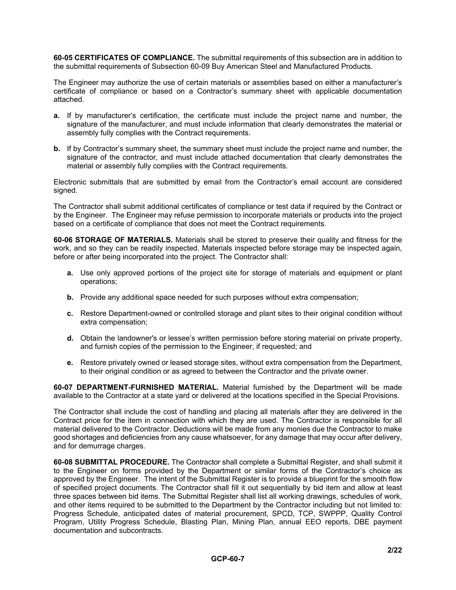**60-05 CERTIFICATES OF COMPLIANCE.** The submittal requirements of this subsection are in addition to the submittal requirements of Subsection 60-09 Buy American Steel and Manufactured Products.

The Engineer may authorize the use of certain materials or assemblies based on either a manufacturer's certificate of compliance or based on a Contractor's summary sheet with applicable documentation attached.

- **a.** If by manufacturer's certification, the certificate must include the project name and number, the signature of the manufacturer, and must include information that clearly demonstrates the material or assembly fully complies with the Contract requirements.
- **b.** If by Contractor's summary sheet, the summary sheet must include the project name and number, the signature of the contractor, and must include attached documentation that clearly demonstrates the material or assembly fully complies with the Contract requirements.

Electronic submittals that are submitted by email from the Contractor's email account are considered signed.

The Contractor shall submit additional certificates of compliance or test data if required by the Contract or by the Engineer. The Engineer may refuse permission to incorporate materials or products into the project based on a certificate of compliance that does not meet the Contract requirements.

**60-06 STORAGE OF MATERIALS.** Materials shall be stored to preserve their quality and fitness for the work, and so they can be readily inspected. Materials inspected before storage may be inspected again, before or after being incorporated into the project. The Contractor shall:

- **a.** Use only approved portions of the project site for storage of materials and equipment or plant operations;
- **b.** Provide any additional space needed for such purposes without extra compensation;
- **c.** Restore Department-owned or controlled storage and plant sites to their original condition without extra compensation;
- **d.** Obtain the landowner's or lessee's written permission before storing material on private property, and furnish copies of the permission to the Engineer, if requested; and
- **e.** Restore privately owned or leased storage sites, without extra compensation from the Department, to their original condition or as agreed to between the Contractor and the private owner.

**60-07 DEPARTMENT-FURNISHED MATERIAL.** Material furnished by the Department will be made available to the Contractor at a state yard or delivered at the locations specified in the Special Provisions.

The Contractor shall include the cost of handling and placing all materials after they are delivered in the Contract price for the item in connection with which they are used. The Contractor is responsible for all material delivered to the Contractor. Deductions will be made from any monies due the Contractor to make good shortages and deficiencies from any cause whatsoever, for any damage that may occur after delivery, and for demurrage charges.

**60-08 SUBMITTAL PROCEDURE.** The Contractor shall complete a Submittal Register, and shall submit it to the Engineer on forms provided by the Department or similar forms of the Contractor's choice as approved by the Engineer. The intent of the Submittal Register is to provide a blueprint for the smooth flow of specified project documents. The Contractor shall fill it out sequentially by bid item and allow at least three spaces between bid items. The Submittal Register shall list all working drawings, schedules of work, and other items required to be submitted to the Department by the Contractor including but not limited to: Progress Schedule, anticipated dates of material procurement, SPCD, TCP, SWPPP, Quality Control Program, Utility Progress Schedule, Blasting Plan, Mining Plan, annual EEO reports, DBE payment documentation and subcontracts.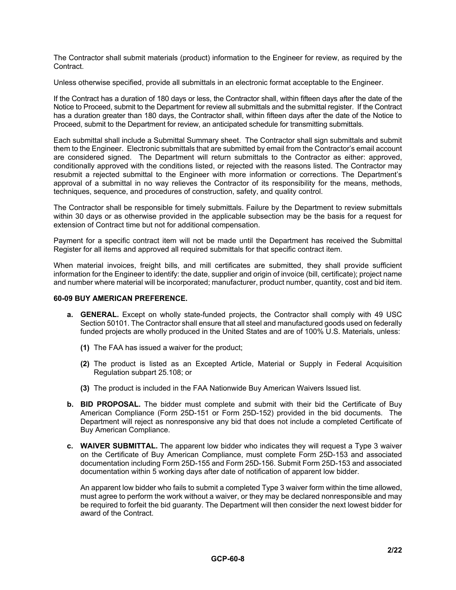The Contractor shall submit materials (product) information to the Engineer for review, as required by the Contract.

Unless otherwise specified, provide all submittals in an electronic format acceptable to the Engineer.

If the Contract has a duration of 180 days or less, the Contractor shall, within fifteen days after the date of the Notice to Proceed, submit to the Department for review all submittals and the submittal register. If the Contract has a duration greater than 180 days, the Contractor shall, within fifteen days after the date of the Notice to Proceed, submit to the Department for review, an anticipated schedule for transmitting submittals.

Each submittal shall include a Submittal Summary sheet. The Contractor shall sign submittals and submit them to the Engineer. Electronic submittals that are submitted by email from the Contractor's email account are considered signed. The Department will return submittals to the Contractor as either: approved, conditionally approved with the conditions listed, or rejected with the reasons listed. The Contractor may resubmit a rejected submittal to the Engineer with more information or corrections. The Department's approval of a submittal in no way relieves the Contractor of its responsibility for the means, methods, techniques, sequence, and procedures of construction, safety, and quality control.

The Contractor shall be responsible for timely submittals. Failure by the Department to review submittals within 30 days or as otherwise provided in the applicable subsection may be the basis for a request for extension of Contract time but not for additional compensation.

Payment for a specific contract item will not be made until the Department has received the Submittal Register for all items and approved all required submittals for that specific contract item.

When material invoices, freight bills, and mill certificates are submitted, they shall provide sufficient information for the Engineer to identify: the date, supplier and origin of invoice (bill, certificate); project name and number where material will be incorporated; manufacturer, product number, quantity, cost and bid item.

## **60-09 BUY AMERICAN PREFERENCE.**

- **a. GENERAL.** Except on wholly state-funded projects, the Contractor shall comply with 49 USC Section 50101. The Contractor shall ensure that all steel and manufactured goods used on federally funded projects are wholly produced in the United States and are of 100% U.S. Materials, unless:
	- **(1)** The FAA has issued a waiver for the product;
	- **(2)** The product is listed as an Excepted Article, Material or Supply in Federal Acquisition Regulation subpart 25.108; or
	- **(3)** The product is included in the FAA Nationwide Buy American Waivers Issued list.
- **b. BID PROPOSAL.** The bidder must complete and submit with their bid the Certificate of Buy American Compliance (Form 25D-151 or Form 25D-152) provided in the bid documents. The Department will reject as nonresponsive any bid that does not include a completed Certificate of Buy American Compliance.
- **c. WAIVER SUBMITTAL.** The apparent low bidder who indicates they will request a Type 3 waiver on the Certificate of Buy American Compliance, must complete Form 25D-153 and associated documentation including Form 25D-155 and Form 25D-156. Submit Form 25D-153 and associated documentation within 5 working days after date of notification of apparent low bidder.

An apparent low bidder who fails to submit a completed Type 3 waiver form within the time allowed, must agree to perform the work without a waiver, or they may be declared nonresponsible and may be required to forfeit the bid guaranty. The Department will then consider the next lowest bidder for award of the Contract.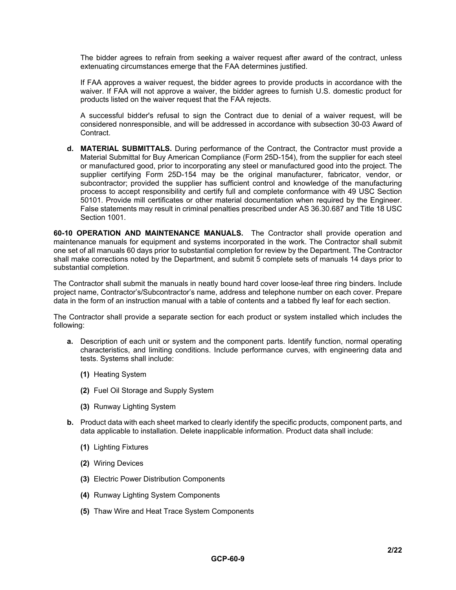The bidder agrees to refrain from seeking a waiver request after award of the contract, unless extenuating circumstances emerge that the FAA determines justified.

If FAA approves a waiver request, the bidder agrees to provide products in accordance with the waiver. If FAA will not approve a waiver, the bidder agrees to furnish U.S. domestic product for products listed on the waiver request that the FAA rejects.

A successful bidder's refusal to sign the Contract due to denial of a waiver request, will be considered nonresponsible, and will be addressed in accordance with subsection 30-03 Award of Contract.

**d. MATERIAL SUBMITTALS.** During performance of the Contract, the Contractor must provide a Material Submittal for Buy American Compliance (Form 25D-154), from the supplier for each steel or manufactured good, prior to incorporating any steel or manufactured good into the project. The supplier certifying Form 25D-154 may be the original manufacturer, fabricator, vendor, or subcontractor; provided the supplier has sufficient control and knowledge of the manufacturing process to accept responsibility and certify full and complete conformance with 49 USC Section 50101. Provide mill certificates or other material documentation when required by the Engineer. False statements may result in criminal penalties prescribed under AS 36.30.687 and Title 18 USC Section 1001.

**60-10 OPERATION AND MAINTENANCE MANUALS.** The Contractor shall provide operation and maintenance manuals for equipment and systems incorporated in the work. The Contractor shall submit one set of all manuals 60 days prior to substantial completion for review by the Department. The Contractor shall make corrections noted by the Department, and submit 5 complete sets of manuals 14 days prior to substantial completion.

The Contractor shall submit the manuals in neatly bound hard cover loose-leaf three ring binders. Include project name, Contractor's/Subcontractor's name, address and telephone number on each cover. Prepare data in the form of an instruction manual with a table of contents and a tabbed fly leaf for each section.

The Contractor shall provide a separate section for each product or system installed which includes the following:

- **a.** Description of each unit or system and the component parts. Identify function, normal operating characteristics, and limiting conditions. Include performance curves, with engineering data and tests. Systems shall include:
	- **(1)** Heating System
	- **(2)** Fuel Oil Storage and Supply System
	- **(3)** Runway Lighting System
- **b.** Product data with each sheet marked to clearly identify the specific products, component parts, and data applicable to installation. Delete inapplicable information. Product data shall include:
	- **(1)** Lighting Fixtures
	- **(2)** Wiring Devices
	- **(3)** Electric Power Distribution Components
	- **(4)** Runway Lighting System Components
	- **(5)** Thaw Wire and Heat Trace System Components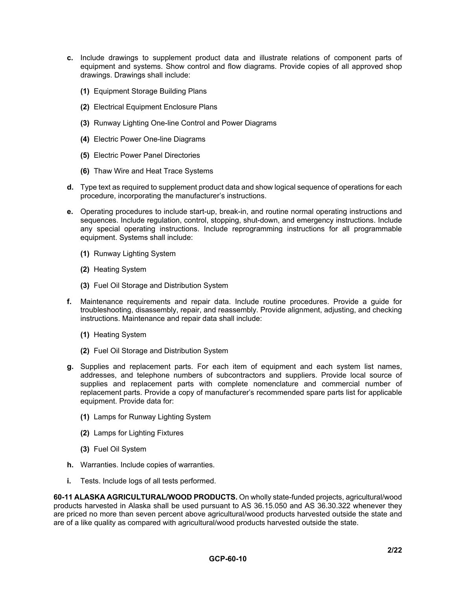- **c.** Include drawings to supplement product data and illustrate relations of component parts of equipment and systems. Show control and flow diagrams. Provide copies of all approved shop drawings. Drawings shall include:
	- **(1)** Equipment Storage Building Plans
	- **(2)** Electrical Equipment Enclosure Plans
	- **(3)** Runway Lighting One-line Control and Power Diagrams
	- **(4)** Electric Power One-line Diagrams
	- **(5)** Electric Power Panel Directories
	- **(6)** Thaw Wire and Heat Trace Systems
- **d.** Type text as required to supplement product data and show logical sequence of operations for each procedure, incorporating the manufacturer's instructions.
- **e.** Operating procedures to include start-up, break-in, and routine normal operating instructions and sequences. Include regulation, control, stopping, shut-down, and emergency instructions. Include any special operating instructions. Include reprogramming instructions for all programmable equipment. Systems shall include:
	- **(1)** Runway Lighting System
	- **(2)** Heating System
	- **(3)** Fuel Oil Storage and Distribution System
- **f.** Maintenance requirements and repair data. Include routine procedures. Provide a guide for troubleshooting, disassembly, repair, and reassembly. Provide alignment, adjusting, and checking instructions. Maintenance and repair data shall include:
	- **(1)** Heating System
	- **(2)** Fuel Oil Storage and Distribution System
- **g.** Supplies and replacement parts. For each item of equipment and each system list names, addresses, and telephone numbers of subcontractors and suppliers. Provide local source of supplies and replacement parts with complete nomenclature and commercial number of replacement parts. Provide a copy of manufacturer's recommended spare parts list for applicable equipment. Provide data for:
	- **(1)** Lamps for Runway Lighting System
	- **(2)** Lamps for Lighting Fixtures
	- **(3)** Fuel Oil System
- **h.** Warranties. Include copies of warranties.
- **i.** Tests. Include logs of all tests performed.

**60-11 ALASKA AGRICULTURAL/WOOD PRODUCTS.** On wholly state-funded projects, agricultural/wood products harvested in Alaska shall be used pursuant to AS 36.15.050 and AS 36.30.322 whenever they are priced no more than seven percent above agricultural/wood products harvested outside the state and are of a like quality as compared with agricultural/wood products harvested outside the state.